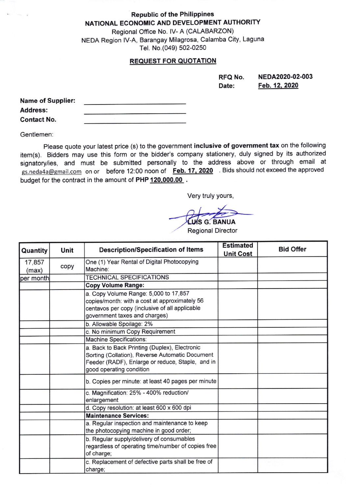Republic of the Philippines NATIONAL ECONOMIC AND DEVELOPMENT AUTHORITY

Regional Office No. lV- A (CALABARZON) NEDA Region lV-A, Barangay Milagrosa, Calamba City, Laguna Tel. No.(049) 502-0250

## REQUEST FOR QUOTATION

RFQ No. Date: NEDA2020-02-003 Feb.12.2020

| <b>Name of Supplier:</b> |  |
|--------------------------|--|
| <b>Address:</b>          |  |
| <b>Contact No.</b>       |  |

Gentlemen.

Please quote your latest price (s) to the government inclusive of government tax on the following item(s). Bidders may use this form or the bidder's company stationery, duly signed by its authorized signatory/ies, and must be submitted personally to the address above or through email at gs.neda4a@gmail.com on or before 12:00 noon of Feb. 17, 2020 Bids should not exceed the approved budget for the contract in the amount of PHP 120,000.00.

Very truly yours,

LUS G. BANUA

Regional Director

| Quantity        | Unit | <b>Description/Specification of Items</b>                                                                                                                                        | <b>Estimated</b><br><b>Unit Cost</b> | <b>Bid Offer</b> |
|-----------------|------|----------------------------------------------------------------------------------------------------------------------------------------------------------------------------------|--------------------------------------|------------------|
| 17,857<br>(max) | copy | One (1) Year Rental of Digital Photocopying<br>Machine:                                                                                                                          |                                      |                  |
| per month       |      | <b>TECHNICAL SPECIFICATIONS</b>                                                                                                                                                  |                                      |                  |
|                 |      | <b>Copy Volume Range:</b>                                                                                                                                                        |                                      |                  |
|                 |      | a. Copy Volume Range: 5,000 to 17,857<br>copies/month: with a cost at approximately 56<br>centavos per copy (inclusive of all applicable<br>government taxes and charges)        |                                      |                  |
|                 |      | b. Allowable Spoilage: 2%                                                                                                                                                        |                                      |                  |
|                 |      | c. No minimum Copy Requirement                                                                                                                                                   |                                      |                  |
|                 |      | Machine Specifications:                                                                                                                                                          |                                      |                  |
|                 |      | a. Back to Back Printing (Duplex), Electronic<br>Sorting (Collation), Reverse Automatic Document<br>Feeder (RADF), Enlarge or reduce, Staple, and in<br>good operating condition |                                      |                  |
|                 |      | b. Copies per minute: at least 40 pages per minute                                                                                                                               |                                      |                  |
|                 |      | c. Magnification: 25% - 400% reduction/<br>enlargement                                                                                                                           |                                      |                  |
|                 |      | d. Copy resolution: at least 600 x 600 dpi                                                                                                                                       |                                      |                  |
|                 |      | <b>Maintenance Services:</b>                                                                                                                                                     |                                      |                  |
|                 |      | a. Regular inspection and maintenance to keep<br>the photocopying machine in good order;                                                                                         |                                      |                  |
|                 |      | b. Regular supply/delivery of consumables<br>regardless of operating time/number of copies free<br>of charge;                                                                    |                                      |                  |
|                 |      | c. Replacement of defective parts shall be free of<br>charge;                                                                                                                    |                                      |                  |